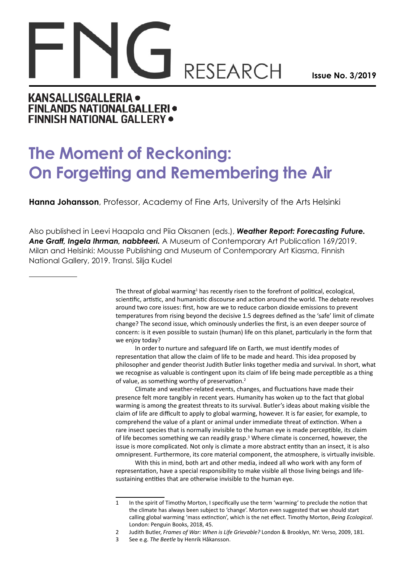## **RESEARCH**

**Issue No. 3/2019**

## **KANSALLISGALLERIA . FINLANDS NATIONALGALLERI · FINNISH NATIONAL GALLERY .**

## **The Moment of Reckoning: On Forgetting and Remembering the Air**

**Hanna Johansson**, Professor, Academy of Fine Arts, University of the Arts Helsinki

Also published in Leevi Haapala and Piia Oksanen (eds.), *Weather Report: Forecasting Future. Ane Graff, Ingela Ihrman, nabbteeri.* A Museum of Contemporary Art Publication 169/2019. Milan and Helsinki: Mousse Publishing and Museum of Contemporary Art Kiasma, Finnish National Gallery, 2019. Transl. Silja Kudel

> The threat of global warming<sup>1</sup> has recently risen to the forefront of political, ecological, scientific, artistic, and humanistic discourse and action around the world. The debate revolves around two core issues: first, how are we to reduce carbon dioxide emissions to prevent temperatures from rising beyond the decisive 1.5 degrees defined as the 'safe' limit of climate change? The second issue, which ominously underlies the first, is an even deeper source of concern: is it even possible to sustain (human) life on this planet, particularly in the form that we enjoy today?

> In order to nurture and safeguard life on Earth, we must identify modes of representation that allow the claim of life to be made and heard. This idea proposed by philosopher and gender theorist Judith Butler links together media and survival. In short, what we recognise as valuable is contingent upon its claim of life being made perceptible as a thing of value, as something worthy of preservation.<sup>2</sup>

> Climate and weather-related events, changes, and fluctuations have made their presence felt more tangibly in recent years. Humanity has woken up to the fact that global warming is among the greatest threats to its survival. Butler's ideas about making visible the claim of life are difficult to apply to global warming, however. It is far easier, for example, to comprehend the value of a plant or animal under immediate threat of extinction. When a rare insect species that is normally invisible to the human eye is made perceptible, its claim of life becomes something we can readily grasp.<sup>3</sup> Where climate is concerned, however, the issue is more complicated. Not only is climate a more abstract entity than an insect, it is also omnipresent. Furthermore, its core material component, the atmosphere, is virtually invisible.

With this in mind, both art and other media, indeed all who work with any form of representation, have a special responsibility to make visible all those living beings and lifesustaining entities that are otherwise invisible to the human eye.

<sup>1</sup> In the spirit of Timothy Morton, I specifically use the term 'warming' to preclude the notion that the climate has always been subject to 'change'. Morton even suggested that we should start calling global warming 'mass extinction', which is the net effect. Timothy Morton, *Being Ecological*. London: Penguin Books, 2018, 45.

<sup>2</sup> Judith Butler, *Frames of War: When is Life Grievable?* London & Brooklyn, NY: Verso, 2009, 181.

<sup>3</sup> See e.g. *The Beetle* by Henrik Håkansson.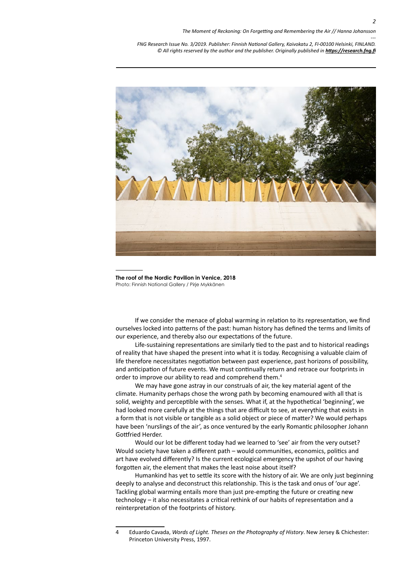*--- FNG Research Issue No. 3/2019. Publisher: Finnish National Gallery, Kaivokatu 2, FI-00100 Helsinki, FINLAND.* © All rights reserved by the author and the publisher. Originally published in **<https://research.fng.fi>** 



**The roof of the Nordic Pavilion in Venice, 2018** Photo: Finnish National Gallery / Pirje Mykkänen

If we consider the menace of global warming in relation to its representation, we find ourselves locked into patterns of the past: human history has defined the terms and limits of our experience, and thereby also our expectations of the future.

Life-sustaining representations are similarly tied to the past and to historical readings of reality that have shaped the present into what it is today. Recognising a valuable claim of life therefore necessitates negotiation between past experience, past horizons of possibility, and anticipation of future events. We must continually return and retrace our footprints in order to improve our ability to read and comprehend them.<sup>4</sup>

We may have gone astray in our construals of air, the key material agent of the climate. Humanity perhaps chose the wrong path by becoming enamoured with all that is solid, weighty and perceptible with the senses. What if, at the hypothetical 'beginning', we had looked more carefully at the things that are difficult to see, at everything that exists in a form that is not visible or tangible as a solid object or piece of matter? We would perhaps have been 'nurslings of the air', as once ventured by the early Romantic philosopher Johann Gottfried Herder.

Would our lot be different today had we learned to 'see' air from the very outset? Would society have taken a different path – would communities, economics, politics and art have evolved differently? Is the current ecological emergency the upshot of our having forgotten air, the element that makes the least noise about itself?

Humankind has yet to settle its score with the history of air. We are only just beginning deeply to analyse and deconstruct this relationship. This is the task and onus of 'our age'. Tackling global warming entails more than just pre-empting the future or creating new technology – it also necessitates a critical rethink of our habits of representation and a reinterpretation of the footprints of history.

<sup>4</sup> Eduardo Cavada, *Words of Light. Theses on the Photography of History*. New Jersey & Chichester: Princeton University Press, 1997.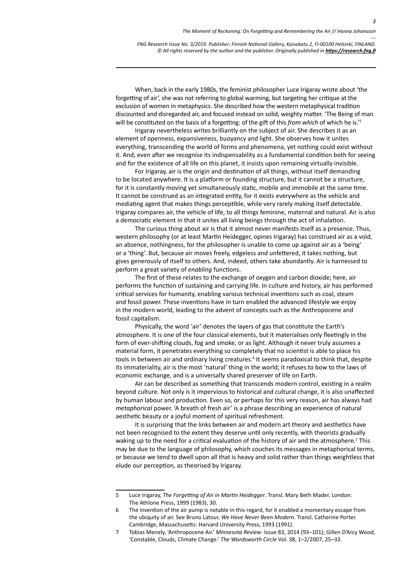*FNG Research Issue No. 3/2019. Publisher: Finnish National Gallery, Kaivokatu 2, FI-00100 Helsinki, FINLAND.* © All rights reserved by the author and the publisher. Originally published in **<https://research.fng.fi>** 

When, back in the early 1980s, the feminist philosopher Luce Irigaray wrote about 'the forgetting of air', she was not referring to global warming, but targeting her critique at the exclusion of women in metaphysics. She described how the western metaphysical tradition discounted and disregarded air, and focused instead on solid, weighty matter. 'The Being of man will be constituted on the basis of a forgetting: of the gift of this *from which* of which he is.'5

Irigaray nevertheless writes brilliantly on the subject of air. She describes it as an element of openness, expansiveness, buoyancy and light. She observes how it unites everything, transcending the world of forms and phenomena, yet nothing could exist without it. And, even after we recognise its indispensability as a fundamental condition both for seeing and for the existence of all life on this planet, it insists upon remaining virtually invisible.

For Irigaray, air is the origin and destination of all things, without itself demanding to be located anywhere. It is a platform or founding structure, but it cannot be a structure, for it is constantly moving yet simultaneously static, mobile and immobile at the same time. It cannot be construed as an integrated entity, for it exists everywhere as the vehicle and mediating agent that makes things perceptible, while very rarely making itself detectable. Irigaray compares air, the vehicle of life, to all things feminine, maternal and natural. Air is also a democratic element in that it unites all living beings through the act of inhalation.

The curious thing about air is that it almost never manifests itself as a presence. Thus, western philosophy (or at least Martin Heidegger, opines Irigaray) has construed air as a void, an absence, nothingness, for the philosopher is unable to come up against air as a 'being' or a 'thing'. But, because air moves freely, edgeless and unfettered, it takes nothing, but gives generously of itself to others. And, indeed, others take abundantly. Air is harnessed to perform a great variety of *enabling* functions.

The first of these relates to the exchange of oxygen and carbon dioxide; here, air performs the function of sustaining and carrying life. In culture and history, air has performed critical services for humanity, enabling various technical inventions such as coal, steam and fossil power. These inventions have in turn enabled the advanced lifestyle we enjoy in the modern world, leading to the advent of concepts such as the Anthropocene and fossil capitalism.

Physically, the word 'air' denotes the layers of gas that constitute the Earth's atmosphere. It is one of the four classical elements, but it materialises only fleetingly in the form of ever-shifting clouds, fog and smoke, or as light. Although it never truly assumes a material form, it penetrates everything so completely that no scientist is able to place his tools in between air and ordinary living creatures.<sup>6</sup> It seems paradoxical to think that, despite its immateriality, air is the most 'natural' thing in the world; it refuses to bow to the laws of economic exchange, and is a universally shared preserver of life on Earth.

Air can be described as something that transcends modern control, existing in a realm beyond culture. Not only is it impervious to historical and cultural change, it is also unaffected by human labour and production. Even so, or perhaps for this very reason, air has always had *metaphorical* power. 'A breath of fresh air' is a phrase describing an experience of natural aesthetic beauty or a joyful moment of spiritual refreshment.

It is surprising that the links between air and modern art theory and aesthetics have not been recognised to the extent they deserve until only recently, with theorists gradually waking up to the need for a critical evaluation of the history of air and the atmosphere.<sup>7</sup> This may be due to the language of philosophy, which couches its messages in metaphorical terms, or because we tend to dwell upon all that is heavy and solid rather than things weightless that elude our perception, as theorised by Irigaray.

*---*

<sup>5</sup> Luce Irigaray, *The Forgetting of Air in Martin Heidegger*. Transl. Mary Beth Mader. London: The Athlone Press, 1999 (1983), 30.

<sup>6</sup> The invention of the air pump is notable in this regard, for it enabled a momentary escape from the ubiquity of air. See Bruno Latour, *We Have Never Been Modern*. Transl. Catherine Porter. Cambridge, Massachusetts: Harvard University Press, 1993 (1991).

<sup>7</sup> Tobias Menely, 'Anthropocene Air.' *Minnesota Review*. Issue 83, 2014 (93–101); Gillen D'Arcy Wood, 'Constable, Clouds, Climate Change.' *The Wordsworth Circle* Vol. 38, 1–2/2007, 25–33.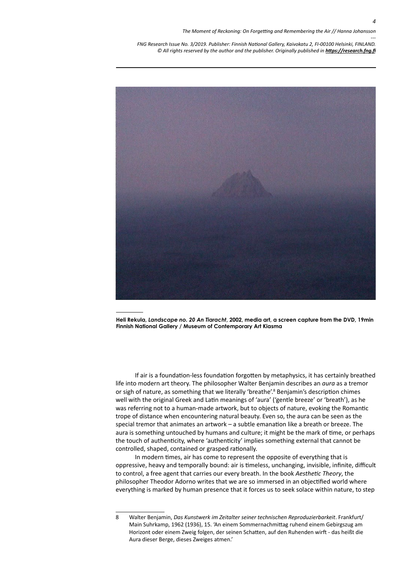*--- FNG Research Issue No. 3/2019. Publisher: Finnish National Gallery, Kaivokatu 2, FI-00100 Helsinki, FINLAND.* © All rights reserved by the author and the publisher. Originally published in **<https://research.fng.fi>** 



**Heli Rekula,** *Landscape no. 20 An Tiaracht***, 2002, media art, a screen capture from the DVD, 19min Finnish National Gallery / Museum of Contemporary Art Kiasma**

If air is a foundation-less foundation forgotten by metaphysics, it has certainly breathed life into modern art theory. The philosopher Walter Benjamin describes an *aura* as a tremor or sigh of nature, as something that we literally 'breathe'.<sup>8</sup> Benjamin's description chimes well with the original Greek and Latin meanings of 'aura' ('gentle breeze' or 'breath'), as he was referring not to a human-made artwork, but to objects of nature, evoking the Romantic trope of distance when encountering natural beauty. Even so, the aura can be seen as the special tremor that animates an artwork – a subtle emanation like a breath or breeze. The aura is something untouched by humans and culture; it might be the mark of time, or perhaps the touch of authenticity, where 'authenticity' implies something external that cannot be controlled, shaped, contained or grasped rationally.

In modern times, air has come to represent the opposite of everything that is oppressive, heavy and temporally bound: air is timeless, unchanging, invisible, infinite, difficult to control, a free agent that carries our every breath. In the book *Aesthetic Theory*, the philosopher Theodor Adorno writes that we are so immersed in an objectified world where everything is marked by human presence that it forces us to seek solace within nature, to step

<sup>8</sup> Walter Benjamin, *Das Kunstwerk im Zeitalter seiner technischen Reproduzierbarkeit*. Frankfurt/ Main Suhrkamp, 1962 (1936), 15. 'An einem Sommernachmittag ruhend einem Gebirgszug am Horizont oder einem Zweig folgen, der seinen Schatten, auf den Ruhenden wirft - das heißt die Aura dieser Berge, dieses Zweiges atmen.'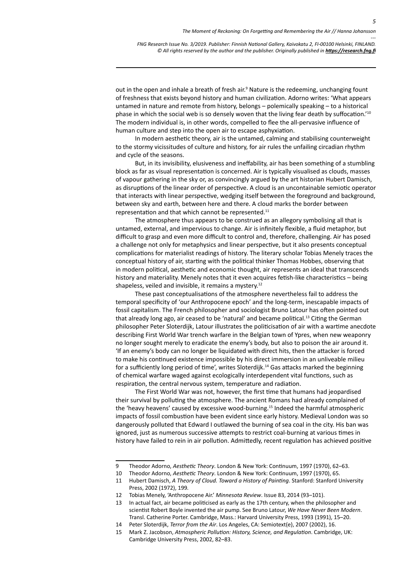*FNG Research Issue No. 3/2019. Publisher: Finnish National Gallery, Kaivokatu 2, FI-00100 Helsinki, FINLAND.* © All rights reserved by the author and the publisher. Originally published in **<https://research.fng.fi>** 

out in the open and inhale a breath of fresh air.<sup>9</sup> Nature is the redeeming, unchanging fount of freshness that exists beyond history and human civilization. Adorno writes: 'What appears untamed in nature and remote from history, belongs – polemically speaking – to a historical phase in which the social web is so densely woven that the living fear death by suffocation.'10 The modern individual is, in other words, compelled to flee the all-pervasive influence of human culture and step into the open air to escape asphyxiation.

In modern aesthetic theory, air is the untamed, calming and stabilising counterweight to the stormy vicissitudes of culture and history, for air rules the unfailing circadian rhythm and cycle of the seasons.

But, in its invisibility, elusiveness and ineffability, air has been something of a stumbling block as far as visual representation is concerned. Air is typically visualised as clouds, masses of vapour gathering in the sky or, as convincingly argued by the art historian Hubert Damisch, as disruptions of the linear order of perspective. A cloud is an uncontainable semiotic operator that interacts with linear perspective, wedging itself between the foreground and background, between sky and earth, between here and there. A cloud marks the border between representation and that which cannot be represented.<sup>11</sup>

The atmosphere thus appears to be construed as an allegory symbolising all that is untamed, external, and impervious to change. Air is infinitely flexible, a fluid metaphor, but difficult to grasp and even more difficult to control and, therefore, challenging. Air has posed a challenge not only for metaphysics and linear perspective, but it also presents conceptual complications for materialist readings of history. The literary scholar Tobias Menely traces the conceptual history of air, starting with the political thinker Thomas Hobbes, observing that in modern political, aesthetic and economic thought, air represents an ideal that transcends history and materiality. Menely notes that it even acquires fetish-like characteristics – being shapeless, veiled and invisible, it remains a mystery.<sup>12</sup>

These past conceptualisations of the atmosphere nevertheless fail to address the temporal specificity of 'our Anthropocene epoch' and the long-term, inescapable impacts of fossil capitalism. The French philosopher and sociologist Bruno Latour has often pointed out that already long ago, air ceased to be 'natural' and became political.<sup>13</sup> Citing the German philosopher Peter Sloterdijk, Latour illustrates the politicisation of air with a wartime anecdote describing First World War trench warfare in the Belgian town of Ypres, when new weaponry no longer sought merely to eradicate the enemy's body, but also to poison the air around it. 'If an enemy's body can no longer be liquidated with direct hits, then the attacker is forced to make his continued existence impossible by his direct immersion in an unliveable milieu for a sufficiently long period of time', writes Sloterdijk.14 Gas attacks marked the beginning of chemical warfare waged against ecologically interdependent vital functions, such as respiration, the central nervous system, temperature and radiation.

The First World War was not, however, the first time that humans had jeopardised their survival by polluting the atmosphere. The ancient Romans had already complained of the 'heavy heavens' caused by excessive wood-burning.15 Indeed the harmful atmospheric impacts of fossil combustion have been evident since early history. Medieval London was so dangerously polluted that Edward I outlawed the burning of sea coal in the city. His ban was ignored, just as numerous successive attempts to restrict coal-burning at various times in history have failed to rein in air pollution. Admittedly, recent regulation has achieved positive

*---*

<sup>9</sup> Theodor Adorno, *Aesthetic Theory*. London & New York: Continuum, 1997 (1970), 62–63.

<sup>10</sup> Theodor Adorno, *Aesthetic Theory*. London & New York: Continuum, 1997 (1970), 65.

<sup>11</sup> Hubert Damisch, *A Theory of Cloud. Toward a History of Painting*. Stanford: Stanford University Press, 2002 (1972), 199*.*

<sup>12</sup> Tobias Menely, 'Anthropocene Air.' *Minnesota Review*. Issue 83, 2014 (93–101).

<sup>13</sup> In actual fact, air became politicised as early as the 17th century, when the philosopher and scientist Robert Boyle invented the air pump. See Bruno Latour, *We Have Never Been Modern*. Transl. Catherine Porter. Cambridge, Mass.: Harvard University Press, 1993 (1991), 15–20.

<sup>14</sup> Peter Sloterdijk, *Terror from the Air*. Los Angeles, CA: Semiotext(e), 2007 (2002), 16.

<sup>15</sup> Mark Z. Jacobson, *Atmospheric Pollution: History, Science, and Regulation*. Cambridge, UK: Cambridge University Press, 2002, 82–83.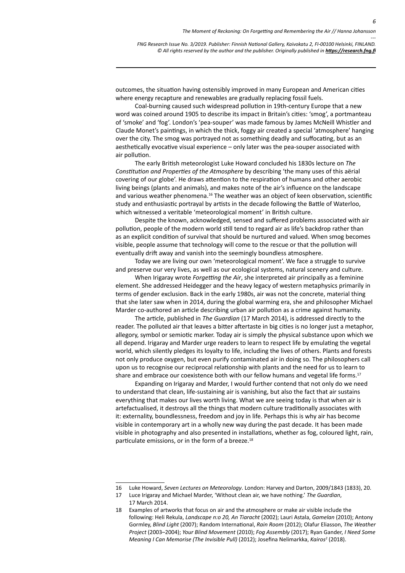*FNG Research Issue No. 3/2019. Publisher: Finnish National Gallery, Kaivokatu 2, FI-00100 Helsinki, FINLAND.* © All rights reserved by the author and the publisher. Originally published in **<https://research.fng.fi>** 

outcomes, the situation having ostensibly improved in many European and American cities where energy recapture and renewables are gradually replacing fossil fuels.

Coal-burning caused such widespread pollution in 19th-century Europe that a new word was coined around 1905 to describe its impact in Britain's cities: 'smog', a portmanteau of 'smoke' and 'fog'. London's 'pea-souper' was made famous by James McNeill Whistler and Claude Monet's paintings, in which the thick, foggy air created a special 'atmosphere' hanging over the city. The smog was portrayed not as something deadly and suffocating, but as an aesthetically evocative visual experience – only later was the pea-souper associated with air pollution.

The early British meteorologist Luke Howard concluded his 1830s lecture on *The Constitution and Properties of the Atmosphere* by describing 'the many uses of this aërial covering of our globe'. He draws attention to the respiration of humans and other aerobic living beings (plants and animals), and makes note of the air's influence on the landscape and various weather phenomena.<sup>16</sup> The weather was an object of keen observation, scientific study and enthusiastic portrayal by artists in the decade following the Battle of Waterloo, which witnessed a veritable 'meteorological moment' in British culture.

Despite the known, acknowledged, sensed and suffered problems associated with air pollution, people of the modern world still tend to regard air as life's backdrop rather than as an explicit condition of survival that should be nurtured and valued. When smog becomes visible, people assume that technology will come to the rescue or that the pollution will eventually drift away and vanish into the seemingly boundless atmosphere.

Today we are living our own 'meteorological moment'. We face a struggle to survive and preserve our very lives, as well as our ecological systems, natural scenery and culture.

When Irigaray wrote *Forgetting the Air*, she interpreted air principally as a feminine element. She addressed Heidegger and the heavy legacy of western metaphysics primarily in terms of gender exclusion. Back in the early 1980s, air was not the concrete, material thing that she later saw when in 2014, during the global warming era, she and philosopher Michael Marder co-authored an article describing urban air pollution as a crime against humanity.

The article, published in *The Guardian* (17 March 2014), is addressed directly to the reader. The polluted air that leaves a bitter aftertaste in big cities is no longer just a metaphor, allegory, symbol or semiotic marker. Today air is simply the physical substance upon which we all depend. Irigaray and Marder urge readers to learn to respect life by emulating the vegetal world, which silently pledges its loyalty to life, including the lives of others. Plants and forests not only produce oxygen, but even purify contaminated air in doing so. The philosophers call upon us to recognise our reciprocal relationship with plants and the need for us to learn to share and embrace our coexistence both with our fellow humans and vegetal life forms.<sup>17</sup>

Expanding on Irigaray and Marder, I would further contend that not only do we need to understand that clean, life-sustaining air is vanishing, but also the fact that air sustains everything that makes our lives worth living. What we are seeing today is that when air is artefactualised, it destroys all the things that modern culture traditionally associates with it: externality, boundlessness, freedom and joy in life. Perhaps this is why air has become visible in contemporary art in a wholly new way during the past decade. It has been made visible in photography and also presented in installations, whether as fog, coloured light, rain, particulate emissions, or in the form of a breeze.<sup>18</sup>

*---*

<sup>16</sup> Luke Howard, *Seven Lectures on Meteorology*. London: Harvey and Darton, 2009/1843 (1833), 20.

<sup>17</sup> Luce Irigaray and Michael Marder, 'Without clean air, we have nothing.' *The Guardian*, 17 March 2014.

<sup>18</sup> Examples of artworks that focus on air and the atmosphere or make air visible include the following: Heli Rekula, *Landscape n:o 20, An Tiaracht* (2002); Lauri Astala, *Gamelan* (2010); Antony Gormley, *Blind Light* (2007); Random International, *Rain Room* (2012); Olafur Eliasson, *The Weather Project* (2003–2004); *Your Blind Movement* (2010); *Fog Assembly* (2017); Ryan Gander, *I Need Some*  Meaning I Can Memorise (The Invisible Pull) (2012); Josefina Nelimarkka, Kairos<sup>2</sup> (2018).